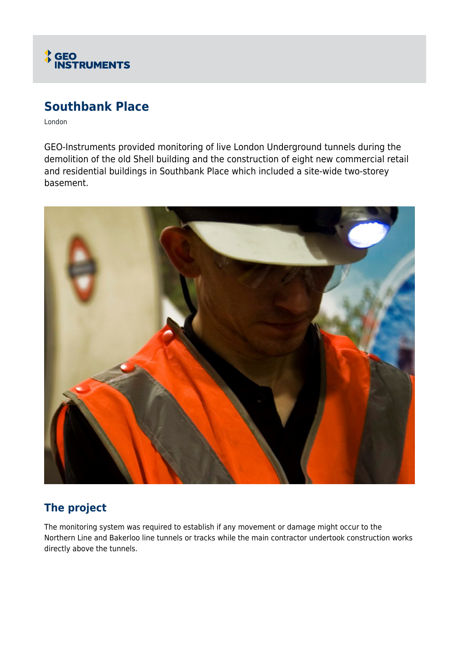

# **Southbank Place**

London

GEO-Instruments provided monitoring of live London Underground tunnels during the demolition of the old Shell building and the construction of eight new commercial retail and residential buildings in Southbank Place which included a site-wide two-storey basement.



## **The project**

The monitoring system was required to establish if any movement or damage might occur to the Northern Line and Bakerloo line tunnels or tracks while the main contractor undertook construction works directly above the tunnels.